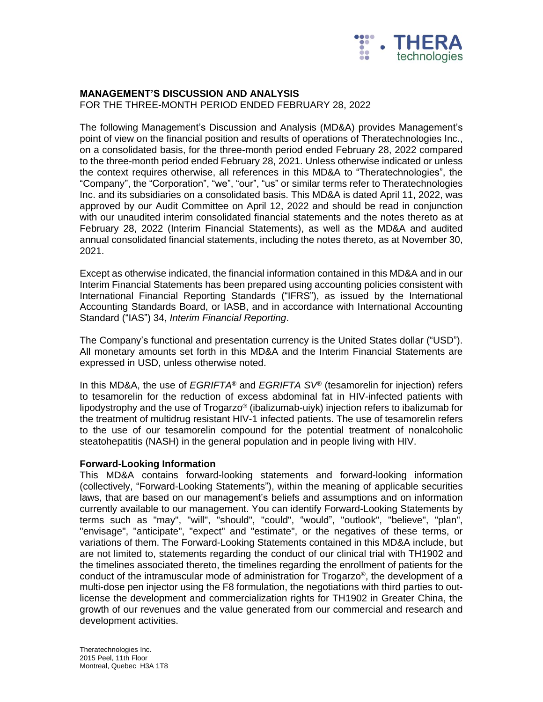

#### **MANAGEMENT'S DISCUSSION AND ANALYSIS**

FOR THE THREE-MONTH PERIOD ENDED FEBRUARY 28, 2022

The following Management's Discussion and Analysis (MD&A) provides Management's point of view on the financial position and results of operations of Theratechnologies Inc., on a consolidated basis, for the three-month period ended February 28, 2022 compared to the three-month period ended February 28, 2021. Unless otherwise indicated or unless the context requires otherwise, all references in this MD&A to "Theratechnologies", the "Company", the "Corporation", "we", "our", "us" or similar terms refer to Theratechnologies Inc. and its subsidiaries on a consolidated basis. This MD&A is dated April 11, 2022, was approved by our Audit Committee on April 12, 2022 and should be read in conjunction with our unaudited interim consolidated financial statements and the notes thereto as at February 28, 2022 (Interim Financial Statements), as well as the MD&A and audited annual consolidated financial statements, including the notes thereto, as at November 30, 2021.

Except as otherwise indicated, the financial information contained in this MD&A and in our Interim Financial Statements has been prepared using accounting policies consistent with International Financial Reporting Standards ("IFRS"), as issued by the International Accounting Standards Board, or IASB, and in accordance with International Accounting Standard ("IAS") 34, *Interim Financial Reporting*.

The Company's functional and presentation currency is the United States dollar ("USD"). All monetary amounts set forth in this MD&A and the Interim Financial Statements are expressed in USD, unless otherwise noted.

In this MD&A, the use of *EGRIFTA*® and *EGRIFTA SV*® (tesamorelin for injection) refers to tesamorelin for the reduction of excess abdominal fat in HIV-infected patients with lipodystrophy and the use of Trogarzo® (ibalizumab-uiyk) injection refers to ibalizumab for the treatment of multidrug resistant HIV-1 infected patients. The use of tesamorelin refers to the use of our tesamorelin compound for the potential treatment of nonalcoholic steatohepatitis (NASH) in the general population and in people living with HIV.

#### **Forward-Looking Information**

This MD&A contains forward-looking statements and forward-looking information (collectively, "Forward-Looking Statements"), within the meaning of applicable securities laws, that are based on our management's beliefs and assumptions and on information currently available to our management. You can identify Forward-Looking Statements by terms such as "may", "will", "should", "could", "would", "outlook", "believe", "plan", "envisage", "anticipate", "expect" and "estimate", or the negatives of these terms, or variations of them. The Forward-Looking Statements contained in this MD&A include, but are not limited to, statements regarding the conduct of our clinical trial with TH1902 and the timelines associated thereto, the timelines regarding the enrollment of patients for the conduct of the intramuscular mode of administration for Trogarzo®, the development of a multi-dose pen injector using the F8 formulation, the negotiations with third parties to outlicense the development and commercialization rights for TH1902 in Greater China, the growth of our revenues and the value generated from our commercial and research and development activities.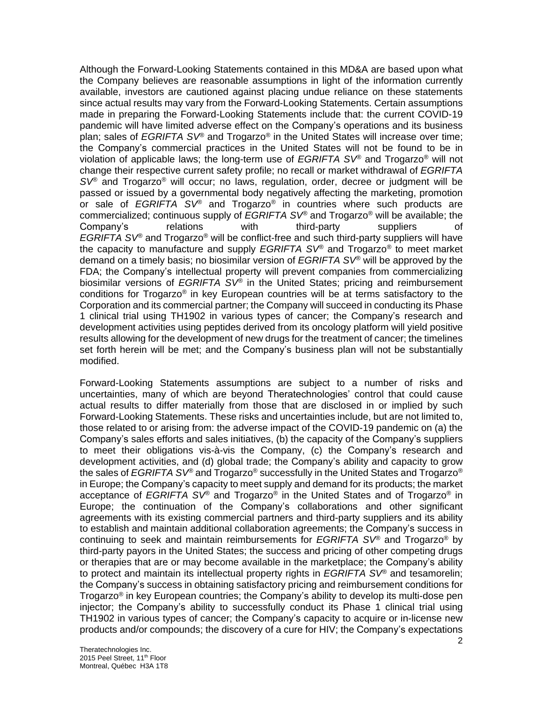Although the Forward-Looking Statements contained in this MD&A are based upon what the Company believes are reasonable assumptions in light of the information currently available, investors are cautioned against placing undue reliance on these statements since actual results may vary from the Forward-Looking Statements. Certain assumptions made in preparing the Forward-Looking Statements include that: the current COVID-19 pandemic will have limited adverse effect on the Company's operations and its business plan; sales of *EGRIFTA SV®* and Trogarzo® in the United States will increase over time; the Company's commercial practices in the United States will not be found to be in violation of applicable laws; the long-term use of *EGRIFTA SV®* and Trogarzo® will not change their respective current safety profile; no recall or market withdrawal of *EGRIFTA SV®* and Trogarzo® will occur; no laws, regulation, order, decree or judgment will be passed or issued by a governmental body negatively affecting the marketing, promotion or sale of *EGRIFTA SV®* and Trogarzo*®* in countries where such products are commercialized; continuous supply of *EGRIFTA SV®* and Trogarzo*®* will be available; the Company's relations with third-party suppliers of *EGRIFTA SV®* and Trogarzo*®* will be conflict-free and such third-party suppliers will have the capacity to manufacture and supply *EGRIFTA SV®* and Trogarzo*®* to meet market demand on a timely basis; no biosimilar version of *EGRIFTA SV®* will be approved by the FDA; the Company's intellectual property will prevent companies from commercializing biosimilar versions of *EGRIFTA SV®* in the United States; pricing and reimbursement conditions for Trogarzo*®* in key European countries will be at terms satisfactory to the Corporation and its commercial partner; the Company will succeed in conducting its Phase 1 clinical trial using TH1902 in various types of cancer; the Company's research and development activities using peptides derived from its oncology platform will yield positive results allowing for the development of new drugs for the treatment of cancer; the timelines set forth herein will be met; and the Company's business plan will not be substantially modified.

Forward-Looking Statements assumptions are subject to a number of risks and uncertainties, many of which are beyond Theratechnologies' control that could cause actual results to differ materially from those that are disclosed in or implied by such Forward-Looking Statements. These risks and uncertainties include, but are not limited to, those related to or arising from: the adverse impact of the COVID-19 pandemic on (a) the Company's sales efforts and sales initiatives, (b) the capacity of the Company's suppliers to meet their obligations vis-à-vis the Company, (c) the Company's research and development activities, and (d) global trade; the Company's ability and capacity to grow the sales of *EGRIFTA SV®* and Trogarzo® successfully in the United States and Trogarzo® in Europe; the Company's capacity to meet supply and demand for its products; the market acceptance of *EGRIFTA SV*® and Trogarzo*®* in the United States and of Trogarzo® in Europe; the continuation of the Company's collaborations and other significant agreements with its existing commercial partners and third-party suppliers and its ability to establish and maintain additional collaboration agreements; the Company's success in continuing to seek and maintain reimbursements for *EGRIFTA SV®* and Trogarzo® by third-party payors in the United States; the success and pricing of other competing drugs or therapies that are or may become available in the marketplace; the Company's ability to protect and maintain its intellectual property rights in *EGRIFTA SV®* and tesamorelin; the Company's success in obtaining satisfactory pricing and reimbursement conditions for Trogarzo® in key European countries; the Company's ability to develop its multi-dose pen injector; the Company's ability to successfully conduct its Phase 1 clinical trial using TH1902 in various types of cancer; the Company's capacity to acquire or in-license new products and/or compounds; the discovery of a cure for HIV; the Company's expectations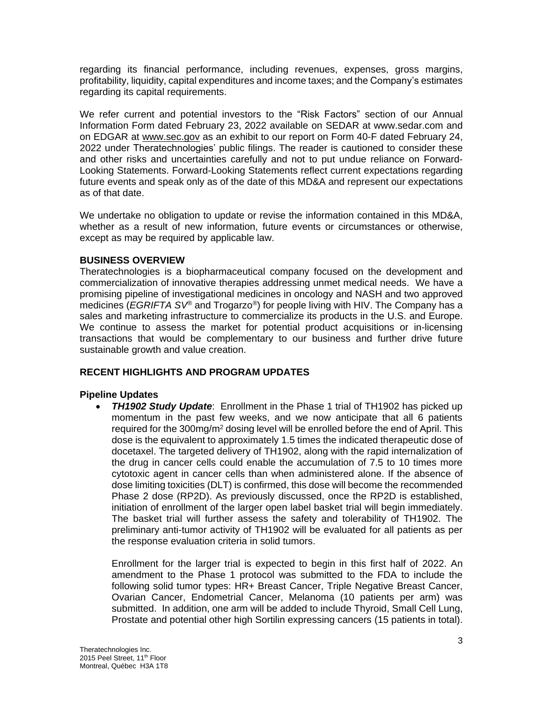regarding its financial performance, including revenues, expenses, gross margins, profitability, liquidity, capital expenditures and income taxes; and the Company's estimates regarding its capital requirements.

We refer current and potential investors to the "Risk Factors" section of our Annual Information Form dated February 23, 2022 available on SEDAR at www.sedar.com and on EDGAR at [www.sec.gov](http://www.sec.gov/) as an exhibit to our report on Form 40-F dated February 24, 2022 under Theratechnologies' public filings. The reader is cautioned to consider these and other risks and uncertainties carefully and not to put undue reliance on Forward-Looking Statements. Forward-Looking Statements reflect current expectations regarding future events and speak only as of the date of this MD&A and represent our expectations as of that date.

We undertake no obligation to update or revise the information contained in this MD&A, whether as a result of new information, future events or circumstances or otherwise, except as may be required by applicable law.

## **BUSINESS OVERVIEW**

Theratechnologies is a biopharmaceutical company focused on the development and commercialization of innovative therapies addressing unmet medical needs. We have a promising pipeline of investigational medicines in oncology and NASH and two approved medicines (*EGRIFTA SV®* and Trogarzo*®*) for people living with HIV. The Company has a sales and marketing infrastructure to commercialize its products in the U.S. and Europe. We continue to assess the market for potential product acquisitions or in-licensing transactions that would be complementary to our business and further drive future sustainable growth and value creation.

# **RECENT HIGHLIGHTS AND PROGRAM UPDATES**

#### **Pipeline Updates**

• *TH1902 Study Update*: Enrollment in the Phase 1 trial of TH1902 has picked up momentum in the past few weeks, and we now anticipate that all 6 patients required for the 300mg/m<sup>2</sup> dosing level will be enrolled before the end of April. This dose is the equivalent to approximately 1.5 times the indicated therapeutic dose of docetaxel. The targeted delivery of TH1902, along with the rapid internalization of the drug in cancer cells could enable the accumulation of 7.5 to 10 times more cytotoxic agent in cancer cells than when administered alone. If the absence of dose limiting toxicities (DLT) is confirmed, this dose will become the recommended Phase 2 dose (RP2D). As previously discussed, once the RP2D is established, initiation of enrollment of the larger open label basket trial will begin immediately. The basket trial will further assess the safety and tolerability of TH1902. The preliminary anti-tumor activity of TH1902 will be evaluated for all patients as per the response evaluation criteria in solid tumors.

Enrollment for the larger trial is expected to begin in this first half of 2022. An amendment to the Phase 1 protocol was submitted to the FDA to include the following solid tumor types: HR+ Breast Cancer, Triple Negative Breast Cancer, Ovarian Cancer, Endometrial Cancer, Melanoma (10 patients per arm) was submitted. In addition, one arm will be added to include Thyroid, Small Cell Lung, Prostate and potential other high Sortilin expressing cancers (15 patients in total).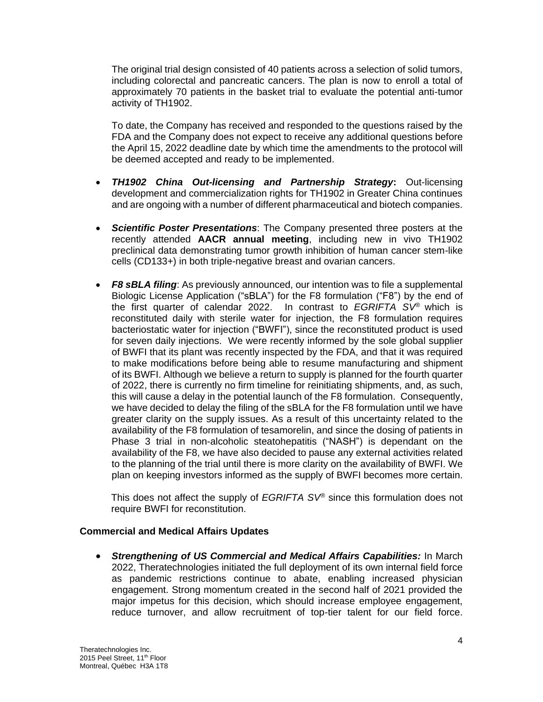The original trial design consisted of 40 patients across a selection of solid tumors, including colorectal and pancreatic cancers. The plan is now to enroll a total of approximately 70 patients in the basket trial to evaluate the potential anti-tumor activity of TH1902.

To date, the Company has received and responded to the questions raised by the FDA and the Company does not expect to receive any additional questions before the April 15, 2022 deadline date by which time the amendments to the protocol will be deemed accepted and ready to be implemented.

- *TH1902 China Out-licensing and Partnership Strategy***:** Out-licensing development and commercialization rights for TH1902 in Greater China continues and are ongoing with a number of different pharmaceutical and biotech companies.
- *Scientific Poster Presentations*: The Company presented three posters at the recently attended **AACR annual meeting**, including new in vivo TH1902 preclinical data demonstrating tumor growth inhibition of human cancer stem-like cells (CD133+) in both triple-negative breast and ovarian cancers.
- *F8 sBLA filing*: As previously announced, our intention was to file a supplemental Biologic License Application ("sBLA") for the F8 formulation ("F8") by the end of the first quarter of calendar 2022. In contrast to *EGRIFTA SV®* which is reconstituted daily with sterile water for injection, the F8 formulation requires bacteriostatic water for injection ("BWFI"), since the reconstituted product is used for seven daily injections. We were recently informed by the sole global supplier of BWFI that its plant was recently inspected by the FDA, and that it was required to make modifications before being able to resume manufacturing and shipment of its BWFI. Although we believe a return to supply is planned for the fourth quarter of 2022, there is currently no firm timeline for reinitiating shipments, and, as such, this will cause a delay in the potential launch of the F8 formulation. Consequently, we have decided to delay the filing of the sBLA for the F8 formulation until we have greater clarity on the supply issues. As a result of this uncertainty related to the availability of the F8 formulation of tesamorelin, and since the dosing of patients in Phase 3 trial in non-alcoholic steatohepatitis ("NASH") is dependant on the availability of the F8, we have also decided to pause any external activities related to the planning of the trial until there is more clarity on the availability of BWFI. We plan on keeping investors informed as the supply of BWFI becomes more certain.

This does not affect the supply of *EGRIFTA SV®* since this formulation does not require BWFI for reconstitution.

#### **Commercial and Medical Affairs Updates**

• *Strengthening of US Commercial and Medical Affairs Capabilities:* In March 2022, Theratechnologies initiated the full deployment of its own internal field force as pandemic restrictions continue to abate, enabling increased physician engagement. Strong momentum created in the second half of 2021 provided the major impetus for this decision, which should increase employee engagement, reduce turnover, and allow recruitment of top-tier talent for our field force.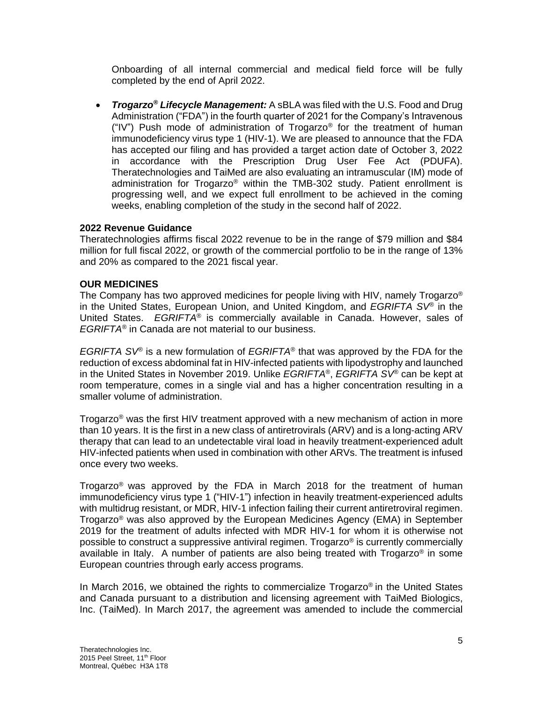Onboarding of all internal commercial and medical field force will be fully completed by the end of April 2022.

• *Trogarzo***®** *Lifecycle Management:* A sBLA was filed with the U.S. Food and Drug Administration ("FDA") in the fourth quarter of 2021 for the Company's Intravenous ("IV") Push mode of administration of Trogarzo<sup>®</sup> for the treatment of human immunodeficiency virus type 1 (HIV-1). We are pleased to announce that the FDA has accepted our filing and has provided a target action date of October 3, 2022 in accordance with the Prescription Drug User Fee Act (PDUFA). Theratechnologies and TaiMed are also evaluating an intramuscular (IM) mode of administration for Trogarzo® within the TMB-302 study. Patient enrollment is progressing well, and we expect full enrollment to be achieved in the coming weeks, enabling completion of the study in the second half of 2022.

#### **2022 Revenue Guidance**

Theratechnologies affirms fiscal 2022 revenue to be in the range of \$79 million and \$84 million for full fiscal 2022, or growth of the commercial portfolio to be in the range of 13% and 20% as compared to the 2021 fiscal year.

#### **OUR MEDICINES**

The Company has two approved medicines for people living with HIV, namely Trogarzo<sup>®</sup> in the United States, European Union, and United Kingdom, and *EGRIFTA SV®* in the United States. *EGRIFTA®* is commercially available in Canada. However, sales of *EGRIFTA®* in Canada are not material to our business.

*EGRIFTA SV*® is a new formulation of *EGRIFTA*® that was approved by the FDA for the reduction of excess abdominal fat in HIV-infected patients with lipodystrophy and launched in the United States in November 2019. Unlike *EGRIFTA*®, *EGRIFTA SV*® can be kept at room temperature, comes in a single vial and has a higher concentration resulting in a smaller volume of administration.

Trogarzo® was the first HIV treatment approved with a new mechanism of action in more than 10 years. It is the first in a new class of antiretrovirals (ARV) and is a long-acting ARV therapy that can lead to an undetectable viral load in heavily treatment-experienced adult HIV-infected patients when used in combination with other ARVs. The treatment is infused once every two weeks.

Trogarzo<sup>®</sup> was approved by the FDA in March 2018 for the treatment of human immunodeficiency virus type 1 ("HIV-1") infection in heavily treatment-experienced adults with multidrug resistant, or MDR, HIV-1 infection failing their current antiretroviral regimen. Trogarzo® was also approved by the European Medicines Agency (EMA) in September 2019 for the treatment of adults infected with MDR HIV-1 for whom it is otherwise not possible to construct a suppressive antiviral regimen. Trogarzo® is currently commercially available in Italy. A number of patients are also being treated with Trogarzo<sup>®</sup> in some European countries through early access programs.

In March 2016, we obtained the rights to commercialize Trogarzo<sup>®</sup> in the United States and Canada pursuant to a distribution and licensing agreement with TaiMed Biologics, Inc. (TaiMed). In March 2017, the agreement was amended to include the commercial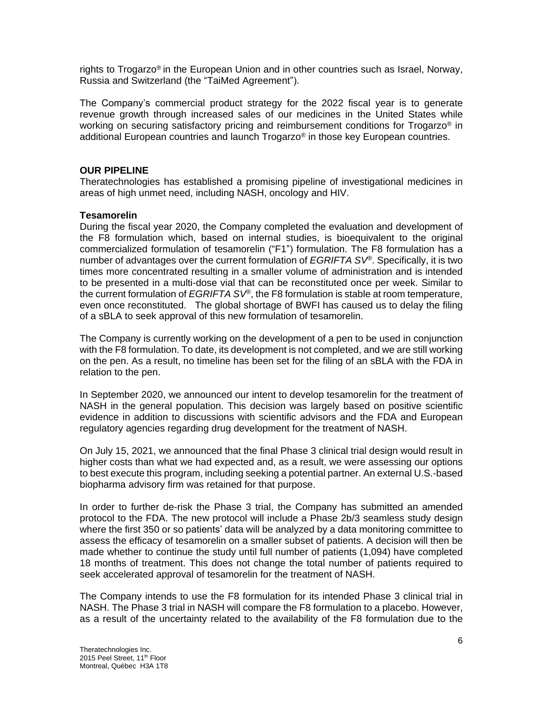rights to Trogarzo® in the European Union and in other countries such as Israel, Norway, Russia and Switzerland (the "TaiMed Agreement").

The Company's commercial product strategy for the 2022 fiscal year is to generate revenue growth through increased sales of our medicines in the United States while working on securing satisfactory pricing and reimbursement conditions for Trogarzo<sup>®</sup> in additional European countries and launch Trogarzo® in those key European countries.

#### **OUR PIPELINE**

Theratechnologies has established a promising pipeline of investigational medicines in areas of high unmet need, including NASH, oncology and HIV.

#### **Tesamorelin**

During the fiscal year 2020, the Company completed the evaluation and development of the F8 formulation which, based on internal studies, is bioequivalent to the original commercialized formulation of tesamorelin ("F1") formulation. The F8 formulation has a number of advantages over the current formulation of *EGRIFTA SV®*. Specifically, it is two times more concentrated resulting in a smaller volume of administration and is intended to be presented in a multi-dose vial that can be reconstituted once per week. Similar to the current formulation of *EGRIFTA SV®*, the F8 formulation is stable at room temperature, even once reconstituted. The global shortage of BWFI has caused us to delay the filing of a sBLA to seek approval of this new formulation of tesamorelin.

The Company is currently working on the development of a pen to be used in conjunction with the F8 formulation. To date, its development is not completed, and we are still working on the pen. As a result, no timeline has been set for the filing of an sBLA with the FDA in relation to the pen.

In September 2020, we announced our intent to develop tesamorelin for the treatment of NASH in the general population. This decision was largely based on positive scientific evidence in addition to discussions with scientific advisors and the FDA and European regulatory agencies regarding drug development for the treatment of NASH.

On July 15, 2021, we announced that the final Phase 3 clinical trial design would result in higher costs than what we had expected and, as a result, we were assessing our options to best execute this program, including seeking a potential partner. An external U.S.-based biopharma advisory firm was retained for that purpose.

In order to further de-risk the Phase 3 trial, the Company has submitted an amended protocol to the FDA. The new protocol will include a Phase 2b/3 seamless study design where the first 350 or so patients' data will be analyzed by a data monitoring committee to assess the efficacy of tesamorelin on a smaller subset of patients. A decision will then be made whether to continue the study until full number of patients (1,094) have completed 18 months of treatment. This does not change the total number of patients required to seek accelerated approval of tesamorelin for the treatment of NASH.

The Company intends to use the F8 formulation for its intended Phase 3 clinical trial in NASH. The Phase 3 trial in NASH will compare the F8 formulation to a placebo. However, as a result of the uncertainty related to the availability of the F8 formulation due to the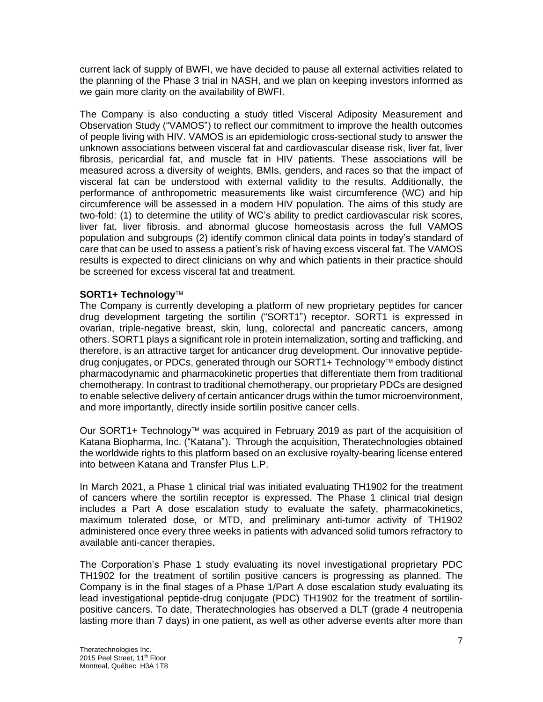current lack of supply of BWFI, we have decided to pause all external activities related to the planning of the Phase 3 trial in NASH, and we plan on keeping investors informed as we gain more clarity on the availability of BWFI.

The Company is also conducting a study titled Visceral Adiposity Measurement and Observation Study ("VAMOS") to reflect our commitment to improve the health outcomes of people living with HIV. VAMOS is an epidemiologic cross-sectional study to answer the unknown associations between visceral fat and cardiovascular disease risk, liver fat, liver fibrosis, pericardial fat, and muscle fat in HIV patients. These associations will be measured across a diversity of weights, BMIs, genders, and races so that the impact of visceral fat can be understood with external validity to the results. Additionally, the performance of anthropometric measurements like waist circumference (WC) and hip circumference will be assessed in a modern HIV population. The aims of this study are two-fold: (1) to determine the utility of WC's ability to predict cardiovascular risk scores, liver fat, liver fibrosis, and abnormal glucose homeostasis across the full VAMOS population and subgroups (2) identify common clinical data points in today's standard of care that can be used to assess a patient's risk of having excess visceral fat. The VAMOS results is expected to direct clinicians on why and which patients in their practice should be screened for excess visceral fat and treatment.

## **SORT1+ Technology**

The Company is currently developing a platform of new proprietary peptides for cancer drug development targeting the sortilin ("SORT1") receptor. SORT1 is expressed in ovarian, triple-negative breast, skin, lung, colorectal and pancreatic cancers, among others. SORT1 plays a significant role in protein internalization, sorting and trafficking, and therefore, is an attractive target for anticancer drug development. Our innovative peptidedrug conjugates, or PDCs, generated through our SORT1+ Technology™ embody distinct pharmacodynamic and pharmacokinetic properties that differentiate them from traditional chemotherapy. In contrast to traditional chemotherapy, our proprietary PDCs are designed to enable selective delivery of certain anticancer drugs within the tumor microenvironment, and more importantly, directly inside sortilin positive cancer cells.

Our SORT1+ Technology<sup> $M$ </sup> was acquired in February 2019 as part of the acquisition of Katana Biopharma, Inc. ("Katana"). Through the acquisition, Theratechnologies obtained the worldwide rights to this platform based on an exclusive royalty-bearing license entered into between Katana and Transfer Plus L.P.

In March 2021, a Phase 1 clinical trial was initiated evaluating TH1902 for the treatment of cancers where the sortilin receptor is expressed. The Phase 1 clinical trial design includes a Part A dose escalation study to evaluate the safety, pharmacokinetics, maximum tolerated dose, or MTD, and preliminary anti-tumor activity of TH1902 administered once every three weeks in patients with advanced solid tumors refractory to available anti-cancer therapies.

The Corporation's Phase 1 study evaluating its novel investigational proprietary PDC TH1902 for the treatment of sortilin positive cancers is progressing as planned. The Company is in the final stages of a Phase 1/Part A dose escalation study evaluating its lead investigational peptide-drug conjugate (PDC) TH1902 for the treatment of sortilinpositive cancers. To date, Theratechnologies has observed a DLT (grade 4 neutropenia lasting more than 7 days) in one patient, as well as other adverse events after more than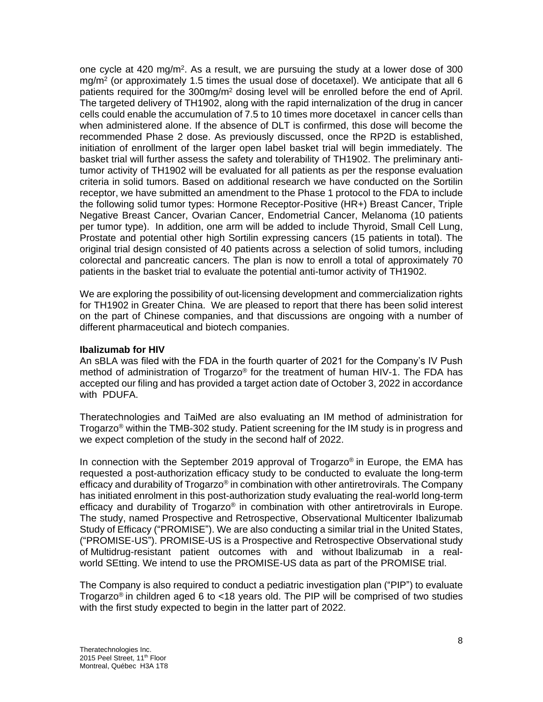one cycle at 420 mg/m<sup>2</sup>. As a result, we are pursuing the study at a lower dose of 300 mg/m<sup>2</sup> (or approximately 1.5 times the usual dose of docetaxel). We anticipate that all 6 patients required for the 300mg/m<sup>2</sup> dosing level will be enrolled before the end of April. The targeted delivery of TH1902, along with the rapid internalization of the drug in cancer cells could enable the accumulation of 7.5 to 10 times more docetaxel in cancer cells than when administered alone. If the absence of DLT is confirmed, this dose will become the recommended Phase 2 dose. As previously discussed, once the RP2D is established, initiation of enrollment of the larger open label basket trial will begin immediately. The basket trial will further assess the safety and tolerability of TH1902. The preliminary antitumor activity of TH1902 will be evaluated for all patients as per the response evaluation criteria in solid tumors. Based on additional research we have conducted on the Sortilin receptor, we have submitted an amendment to the Phase 1 protocol to the FDA to include the following solid tumor types: Hormone Receptor-Positive (HR+) Breast Cancer, Triple Negative Breast Cancer, Ovarian Cancer, Endometrial Cancer, Melanoma (10 patients per tumor type). In addition, one arm will be added to include Thyroid, Small Cell Lung, Prostate and potential other high Sortilin expressing cancers (15 patients in total). The original trial design consisted of 40 patients across a selection of solid tumors, including colorectal and pancreatic cancers. The plan is now to enroll a total of approximately 70 patients in the basket trial to evaluate the potential anti-tumor activity of TH1902.

We are exploring the possibility of out-licensing development and commercialization rights for TH1902 in Greater China. We are pleased to report that there has been solid interest on the part of Chinese companies, and that discussions are ongoing with a number of different pharmaceutical and biotech companies.

#### **Ibalizumab for HIV**

An sBLA was filed with the FDA in the fourth quarter of 2021 for the Company's IV Push method of administration of Trogarzo® for the treatment of human HIV-1. The FDA has accepted our filing and has provided a target action date of October 3, 2022 in accordance with PDUFA.

Theratechnologies and TaiMed are also evaluating an IM method of administration for Trogarzo® within the TMB-302 study. Patient screening for the IM study is in progress and we expect completion of the study in the second half of 2022.

In connection with the September 2019 approval of Trogarzo<sup>®</sup> in Europe, the EMA has requested a post-authorization efficacy study to be conducted to evaluate the long-term efficacy and durability of Trogarzo<sup>®</sup> in combination with other antiretrovirals. The Company has initiated enrolment in this post-authorization study evaluating the real-world long-term efficacy and durability of Trogarzo<sup>®</sup> in combination with other antiretrovirals in Europe. The study, named Prospective and Retrospective, Observational Multicenter Ibalizumab Study of Efficacy ("PROMISE"). We are also conducting a similar trial in the United States, ("PROMISE-US"). PROMISE-US is a Prospective and Retrospective Observational study of Multidrug-resistant patient outcomes with and without Ibalizumab in a realworld SEtting. We intend to use the PROMISE-US data as part of the PROMISE trial.

The Company is also required to conduct a pediatric investigation plan ("PIP") to evaluate Trogarzo<sup>®</sup> in children aged 6 to <18 years old. The PIP will be comprised of two studies with the first study expected to begin in the latter part of 2022.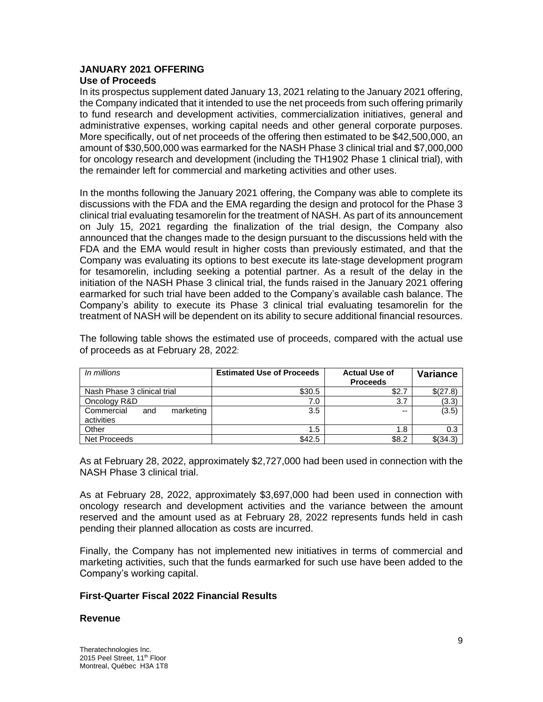# **JANUARY 2021 OFFERING**

# **Use of Proceeds**

In its prospectus supplement dated January 13, 2021 relating to the January 2021 offering, the Company indicated that it intended to use the net proceeds from such offering primarily to fund research and development activities, commercialization initiatives, general and administrative expenses, working capital needs and other general corporate purposes. More specifically, out of net proceeds of the offering then estimated to be \$42,500,000, an amount of \$30,500,000 was earmarked for the NASH Phase 3 clinical trial and \$7,000,000 for oncology research and development (including the TH1902 Phase 1 clinical trial), with the remainder left for commercial and marketing activities and other uses.

In the months following the January 2021 offering, the Company was able to complete its discussions with the FDA and the EMA regarding the design and protocol for the Phase 3 clinical trial evaluating tesamorelin for the treatment of NASH. As part of its announcement on July 15, 2021 regarding the finalization of the trial design, the Company also announced that the changes made to the design pursuant to the discussions held with the FDA and the EMA would result in higher costs than previously estimated, and that the Company was evaluating its options to best execute its late-stage development program for tesamorelin, including seeking a potential partner. As a result of the delay in the initiation of the NASH Phase 3 clinical trial, the funds raised in the January 2021 offering earmarked for such trial have been added to the Company's available cash balance. The Company's ability to execute its Phase 3 clinical trial evaluating tesamorelin for the treatment of NASH will be dependent on its ability to secure additional financial resources.

The following table shows the estimated use of proceeds, compared with the actual use of proceeds as at February 28, 2022:

| In millions                                  | <b>Estimated Use of Proceeds</b> | <b>Actual Use of</b><br><b>Proceeds</b> | <b>Variance</b> |
|----------------------------------------------|----------------------------------|-----------------------------------------|-----------------|
| Nash Phase 3 clinical trial                  | \$30.5                           | \$2.7                                   | \$(27.8)        |
| Oncology R&D                                 | 7.0                              | 3.7                                     | (3.3)           |
| Commercial<br>marketing<br>and<br>activities | 3.5                              | --                                      | (3.5)           |
| Other                                        | 1.5                              | 1.8                                     | 0.3             |
| Net Proceeds                                 | \$42.5                           | \$8.2                                   | \$ (34.3)       |

As at February 28, 2022, approximately \$2,727,000 had been used in connection with the NASH Phase 3 clinical trial.

As at February 28, 2022, approximately \$3,697,000 had been used in connection with oncology research and development activities and the variance between the amount reserved and the amount used as at February 28, 2022 represents funds held in cash pending their planned allocation as costs are incurred.

Finally, the Company has not implemented new initiatives in terms of commercial and marketing activities, such that the funds earmarked for such use have been added to the Company's working capital.

#### **First-Quarter Fiscal 2022 Financial Results**

#### **Revenue**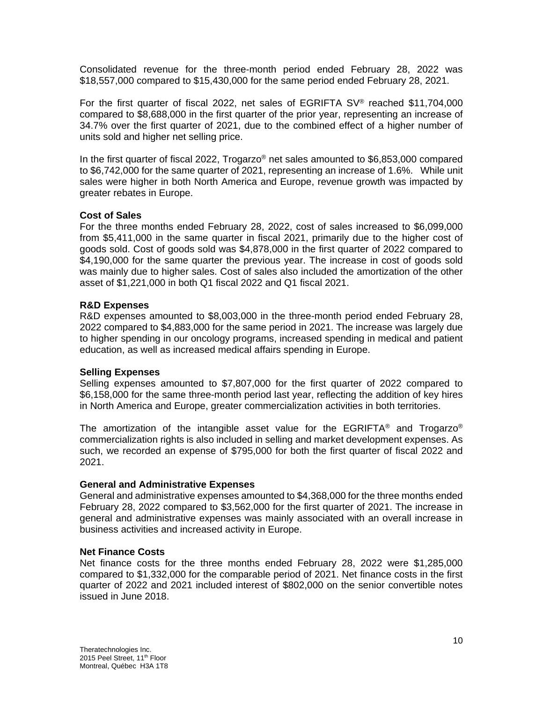Consolidated revenue for the three-month period ended February 28, 2022 was \$18,557,000 compared to \$15,430,000 for the same period ended February 28, 2021.

For the first quarter of fiscal 2022, net sales of EGRIFTA SV® reached \$11,704,000 compared to \$8,688,000 in the first quarter of the prior year, representing an increase of 34.7% over the first quarter of 2021, due to the combined effect of a higher number of units sold and higher net selling price.

In the first quarter of fiscal 2022, Trogarzo® net sales amounted to \$6,853,000 compared to \$6,742,000 for the same quarter of 2021, representing an increase of 1.6%. While unit sales were higher in both North America and Europe, revenue growth was impacted by greater rebates in Europe.

#### **Cost of Sales**

For the three months ended February 28, 2022, cost of sales increased to \$6,099,000 from \$5,411,000 in the same quarter in fiscal 2021, primarily due to the higher cost of goods sold. Cost of goods sold was \$4,878,000 in the first quarter of 2022 compared to \$4,190,000 for the same quarter the previous year. The increase in cost of goods sold was mainly due to higher sales. Cost of sales also included the amortization of the other asset of \$1,221,000 in both Q1 fiscal 2022 and Q1 fiscal 2021.

#### **R&D Expenses**

R&D expenses amounted to \$8,003,000 in the three-month period ended February 28, 2022 compared to \$4,883,000 for the same period in 2021. The increase was largely due to higher spending in our oncology programs, increased spending in medical and patient education, as well as increased medical affairs spending in Europe.

#### **Selling Expenses**

Selling expenses amounted to \$7,807,000 for the first quarter of 2022 compared to \$6,158,000 for the same three-month period last year, reflecting the addition of key hires in North America and Europe, greater commercialization activities in both territories.

The amortization of the intangible asset value for the EGRIFTA<sup>®</sup> and Trogarzo<sup>®</sup> commercialization rights is also included in selling and market development expenses. As such, we recorded an expense of \$795,000 for both the first quarter of fiscal 2022 and 2021.

#### **General and Administrative Expenses**

General and administrative expenses amounted to \$4,368,000 for the three months ended February 28, 2022 compared to \$3,562,000 for the first quarter of 2021. The increase in general and administrative expenses was mainly associated with an overall increase in business activities and increased activity in Europe.

#### **Net Finance Costs**

Net finance costs for the three months ended February 28, 2022 were \$1,285,000 compared to \$1,332,000 for the comparable period of 2021. Net finance costs in the first quarter of 2022 and 2021 included interest of \$802,000 on the senior convertible notes issued in June 2018.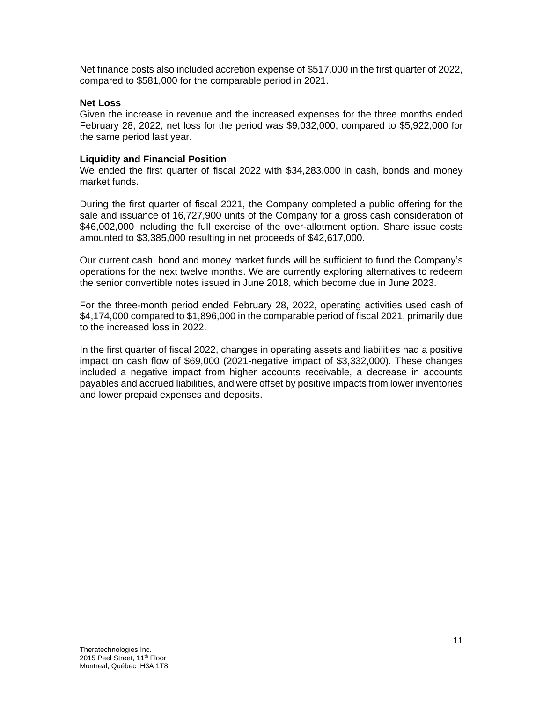Net finance costs also included accretion expense of \$517,000 in the first quarter of 2022, compared to \$581,000 for the comparable period in 2021.

#### **Net Loss**

Given the increase in revenue and the increased expenses for the three months ended February 28, 2022, net loss for the period was \$9,032,000, compared to \$5,922,000 for the same period last year.

#### **Liquidity and Financial Position**

We ended the first quarter of fiscal 2022 with \$34,283,000 in cash, bonds and money market funds.

During the first quarter of fiscal 2021, the Company completed a public offering for the sale and issuance of 16,727,900 units of the Company for a gross cash consideration of \$46,002,000 including the full exercise of the over-allotment option. Share issue costs amounted to \$3,385,000 resulting in net proceeds of \$42,617,000.

Our current cash, bond and money market funds will be sufficient to fund the Company's operations for the next twelve months. We are currently exploring alternatives to redeem the senior convertible notes issued in June 2018, which become due in June 2023.

For the three-month period ended February 28, 2022, operating activities used cash of \$4,174,000 compared to \$1,896,000 in the comparable period of fiscal 2021, primarily due to the increased loss in 2022.

In the first quarter of fiscal 2022, changes in operating assets and liabilities had a positive impact on cash flow of \$69,000 (2021-negative impact of \$3,332,000). These changes included a negative impact from higher accounts receivable, a decrease in accounts payables and accrued liabilities, and were offset by positive impacts from lower inventories and lower prepaid expenses and deposits.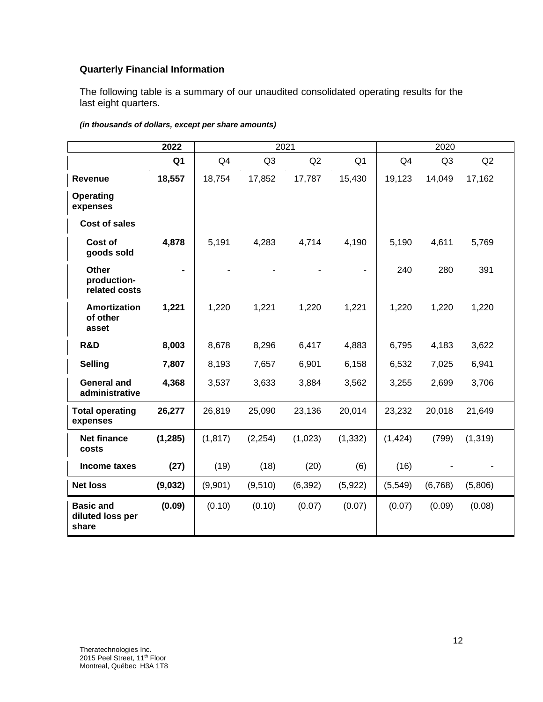# **Quarterly Financial Information**

The following table is a summary of our unaudited consolidated operating results for the last eight quarters.

|                                               | 2022           | 2021     |                |          |                | 2020           |         |          |  |
|-----------------------------------------------|----------------|----------|----------------|----------|----------------|----------------|---------|----------|--|
|                                               | Q <sub>1</sub> | Q4       | Q <sub>3</sub> | Q2       | Q <sub>1</sub> | Q <sub>4</sub> | Q3      | Q2       |  |
| <b>Revenue</b>                                | 18,557         | 18,754   | 17,852         | 17,787   | 15,430         | 19,123         | 14,049  | 17,162   |  |
| <b>Operating</b><br>expenses                  |                |          |                |          |                |                |         |          |  |
| <b>Cost of sales</b>                          |                |          |                |          |                |                |         |          |  |
| Cost of<br>goods sold                         | 4,878          | 5,191    | 4,283          | 4,714    | 4,190          | 5,190          | 4,611   | 5,769    |  |
| <b>Other</b><br>production-<br>related costs  | $\blacksquare$ |          |                |          |                | 240            | 280     | 391      |  |
| <b>Amortization</b><br>of other<br>asset      | 1,221          | 1,220    | 1,221          | 1,220    | 1,221          | 1,220          | 1,220   | 1,220    |  |
| R&D                                           | 8,003          | 8,678    | 8,296          | 6,417    | 4,883          | 6,795          | 4,183   | 3,622    |  |
| <b>Selling</b>                                | 7,807          | 8,193    | 7,657          | 6,901    | 6,158          | 6,532          | 7,025   | 6,941    |  |
| <b>General and</b><br>administrative          | 4,368          | 3,537    | 3,633          | 3,884    | 3,562          | 3,255          | 2,699   | 3,706    |  |
| <b>Total operating</b><br>expenses            | 26,277         | 26,819   | 25,090         | 23,136   | 20,014         | 23,232         | 20,018  | 21,649   |  |
| <b>Net finance</b><br>costs                   | (1, 285)       | (1, 817) | (2, 254)       | (1,023)  | (1, 332)       | (1, 424)       | (799)   | (1, 319) |  |
| Income taxes                                  | (27)           | (19)     | (18)           | (20)     | (6)            | (16)           |         |          |  |
| <b>Net loss</b>                               | (9,032)        | (9,901)  | (9,510)        | (6, 392) | (5,922)        | (5, 549)       | (6,768) | (5,806)  |  |
| <b>Basic and</b><br>diluted loss per<br>share | (0.09)         | (0.10)   | (0.10)         | (0.07)   | (0.07)         | (0.07)         | (0.09)  | (0.08)   |  |

#### *(in thousands of dollars, except per share amounts)*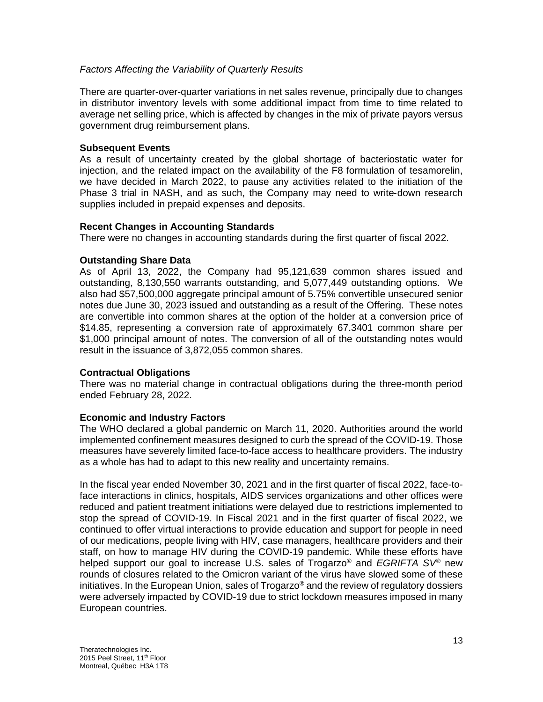#### *Factors Affecting the Variability of Quarterly Results*

There are quarter-over-quarter variations in net sales revenue, principally due to changes in distributor inventory levels with some additional impact from time to time related to average net selling price, which is affected by changes in the mix of private payors versus government drug reimbursement plans.

#### **Subsequent Events**

As a result of uncertainty created by the global shortage of bacteriostatic water for injection, and the related impact on the availability of the F8 formulation of tesamorelin, we have decided in March 2022, to pause any activities related to the initiation of the Phase 3 trial in NASH, and as such, the Company may need to write‐down research supplies included in prepaid expenses and deposits.

#### **Recent Changes in Accounting Standards**

There were no changes in accounting standards during the first quarter of fiscal 2022.

#### **Outstanding Share Data**

As of April 13, 2022, the Company had 95,121,639 common shares issued and outstanding, 8,130,550 warrants outstanding, and 5,077,449 outstanding options. We also had \$57,500,000 aggregate principal amount of 5.75% convertible unsecured senior notes due June 30, 2023 issued and outstanding as a result of the Offering. These notes are convertible into common shares at the option of the holder at a conversion price of \$14.85, representing a conversion rate of approximately 67.3401 common share per \$1,000 principal amount of notes. The conversion of all of the outstanding notes would result in the issuance of 3,872,055 common shares.

#### **Contractual Obligations**

There was no material change in contractual obligations during the three-month period ended February 28, 2022.

#### **Economic and Industry Factors**

The WHO declared a global pandemic on March 11, 2020. Authorities around the world implemented confinement measures designed to curb the spread of the COVID-19. Those measures have severely limited face-to-face access to healthcare providers. The industry as a whole has had to adapt to this new reality and uncertainty remains.

In the fiscal year ended November 30, 2021 and in the first quarter of fiscal 2022, face-toface interactions in clinics, hospitals, AIDS services organizations and other offices were reduced and patient treatment initiations were delayed due to restrictions implemented to stop the spread of COVID-19. In Fiscal 2021 and in the first quarter of fiscal 2022, we continued to offer virtual interactions to provide education and support for people in need of our medications, people living with HIV, case managers, healthcare providers and their staff, on how to manage HIV during the COVID-19 pandemic. While these efforts have helped support our goal to increase U.S. sales of Trogarzo® and *EGRIFTA SV®* new rounds of closures related to the Omicron variant of the virus have slowed some of these initiatives. In the European Union, sales of Trogarzo® and the review of regulatory dossiers were adversely impacted by COVID-19 due to strict lockdown measures imposed in many European countries.